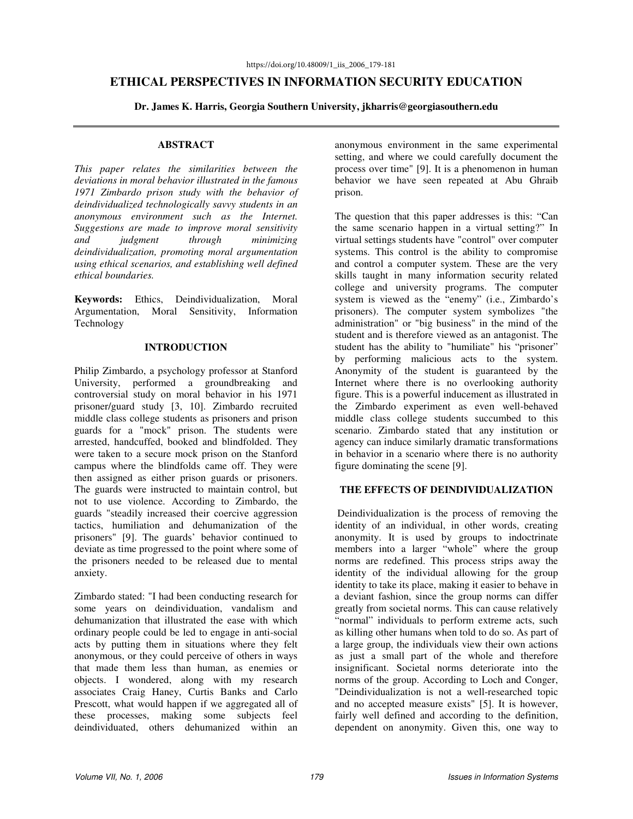# **ETHICAL PERSPECTIVES IN INFORMATION SECURITY EDUCATION**

**Dr. James K. Harris, Georgia Southern University, jkharris@georgiasouthern.edu** 

#### **ABSTRACT**

*This paper relates the similarities between the deviations in moral behavior illustrated in the famous 1971 Zimbardo prison study with the behavior of deindividualized technologically savvy students in an anonymous environment such as the Internet. Suggestions are made to improve moral sensitivity and judgment through minimizing deindividualization, promoting moral argumentation using ethical scenarios, and establishing well defined ethical boundaries.* 

**Keywords:** Ethics, Deindividualization, Moral Argumentation, Moral Sensitivity, Information Technology

#### **INTRODUCTION**

Philip Zimbardo, a psychology professor at Stanford University, performed a groundbreaking and controversial study on moral behavior in his 1971 prisoner/guard study [3, 10]. Zimbardo recruited middle class college students as prisoners and prison guards for a "mock" prison. The students were arrested, handcuffed, booked and blindfolded. They were taken to a secure mock prison on the Stanford campus where the blindfolds came off. They were then assigned as either prison guards or prisoners. The guards were instructed to maintain control, but not to use violence. According to Zimbardo, the guards "steadily increased their coercive aggression tactics, humiliation and dehumanization of the prisoners" [9]. The guards' behavior continued to deviate as time progressed to the point where some of the prisoners needed to be released due to mental anxiety.

Zimbardo stated: "I had been conducting research for some years on deindividuation, vandalism and dehumanization that illustrated the ease with which ordinary people could be led to engage in anti-social acts by putting them in situations where they felt anonymous, or they could perceive of others in ways that made them less than human, as enemies or objects. I wondered, along with my research associates Craig Haney, Curtis Banks and Carlo Prescott, what would happen if we aggregated all of these processes, making some subjects feel deindividuated, others dehumanized within an

anonymous environment in the same experimental setting, and where we could carefully document the process over time" [9]. It is a phenomenon in human behavior we have seen repeated at Abu Ghraib prison.

The question that this paper addresses is this: "Can the same scenario happen in a virtual setting?" In virtual settings students have "control" over computer systems. This control is the ability to compromise and control a computer system. These are the very skills taught in many information security related college and university programs. The computer system is viewed as the "enemy" (i.e., Zimbardo's prisoners). The computer system symbolizes "the administration" or "big business" in the mind of the student and is therefore viewed as an antagonist. The student has the ability to "humiliate" his "prisoner" by performing malicious acts to the system. Anonymity of the student is guaranteed by the Internet where there is no overlooking authority figure. This is a powerful inducement as illustrated in the Zimbardo experiment as even well-behaved middle class college students succumbed to this scenario. Zimbardo stated that any institution or agency can induce similarly dramatic transformations in behavior in a scenario where there is no authority figure dominating the scene [9].

### **THE EFFECTS OF DEINDIVIDUALIZATION**

 Deindividualization is the process of removing the identity of an individual, in other words, creating anonymity. It is used by groups to indoctrinate members into a larger "whole" where the group norms are redefined. This process strips away the identity of the individual allowing for the group identity to take its place, making it easier to behave in a deviant fashion, since the group norms can differ greatly from societal norms. This can cause relatively "normal" individuals to perform extreme acts, such as killing other humans when told to do so. As part of a large group, the individuals view their own actions as just a small part of the whole and therefore insignificant. Societal norms deteriorate into the norms of the group. According to Loch and Conger, "Deindividualization is not a well-researched topic and no accepted measure exists" [5]. It is however, fairly well defined and according to the definition, dependent on anonymity. Given this, one way to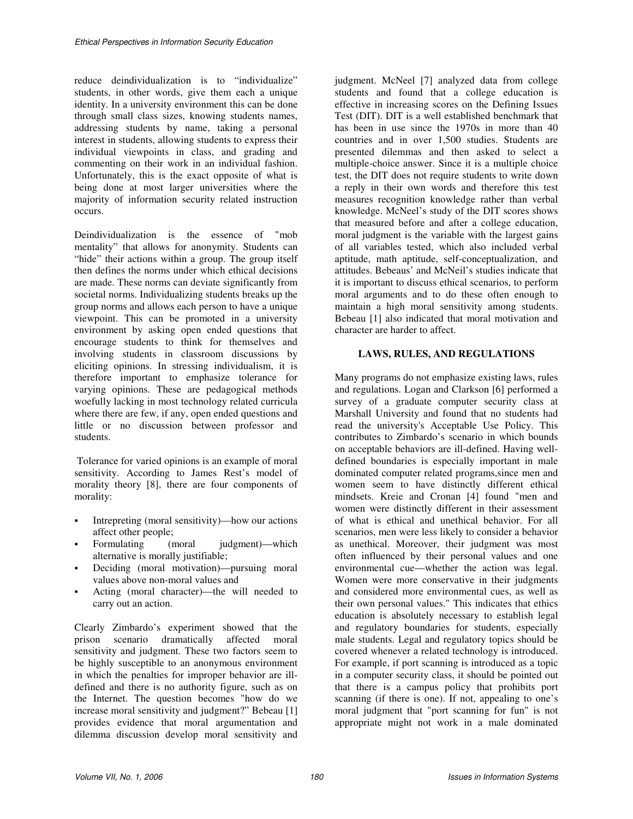reduce deindividualization is to "individualize" students, in other words, give them each a unique identity. In a university environment this can be done through small class sizes, knowing students names, addressing students by name, taking a personal interest in students, allowing students to express their individual viewpoints in class, and grading and commenting on their work in an individual fashion. Unfortunately, this is the exact opposite of what is being done at most larger universities where the majority of information security related instruction occurs.

Deindividualization is the essence of "mob mentality" that allows for anonymity. Students can "hide" their actions within a group. The group itself then defines the norms under which ethical decisions are made. These norms can deviate significantly from societal norms. Individualizing students breaks up the group norms and allows each person to have a unique viewpoint. This can be promoted in a university environment by asking open ended questions that encourage students to think for themselves and involving students in classroom discussions by eliciting opinions. In stressing individualism, it is therefore important to emphasize tolerance for varying opinions. These are pedagogical methods woefully lacking in most technology related curricula where there are few, if any, open ended questions and little or no discussion between professor and students.

 Tolerance for varied opinions is an example of moral sensitivity. According to James Rest's model of morality theory [8], there are four components of morality:

- Intrepreting (moral sensitivity)—how our actions affect other people;
- Formulating (moral judgment)—which alternative is morally justifiable;
- Deciding (moral motivation)—pursuing moral values above non-moral values and
- Acting (moral character)—the will needed to carry out an action.

Clearly Zimbardo's experiment showed that the prison scenario dramatically affected moral sensitivity and judgment. These two factors seem to be highly susceptible to an anonymous environment in which the penalties for improper behavior are illdefined and there is no authority figure, such as on the Internet. The question becomes "how do we increase moral sensitivity and judgment?" Bebeau [1] provides evidence that moral argumentation and dilemma discussion develop moral sensitivity and

judgment. McNeel [7] analyzed data from college students and found that a college education is effective in increasing scores on the Defining Issues Test (DIT). DIT is a well established benchmark that has been in use since the 1970s in more than 40 countries and in over 1,500 studies. Students are presented dilemmas and then asked to select a multiple-choice answer. Since it is a multiple choice test, the DIT does not require students to write down a reply in their own words and therefore this test measures recognition knowledge rather than verbal knowledge. McNeel's study of the DIT scores shows that measured before and after a college education, moral judgment is the variable with the largest gains of all variables tested, which also included verbal aptitude, math aptitude, self-conceptualization, and attitudes. Bebeaus' and McNeil's studies indicate that it is important to discuss ethical scenarios, to perform moral arguments and to do these often enough to maintain a high moral sensitivity among students. Bebeau [1] also indicated that moral motivation and character are harder to affect.

### **LAWS, RULES, AND REGULATIONS**

Many programs do not emphasize existing laws, rules and regulations. Logan and Clarkson [6] performed a survey of a graduate computer security class at Marshall University and found that no students had read the university's Acceptable Use Policy. This contributes to Zimbardo's scenario in which bounds on acceptable behaviors are ill-defined. Having welldefined boundaries is especially important in male dominated computer related programs,since men and women seem to have distinctly different ethical mindsets. Kreie and Cronan [4] found "men and women were distinctly different in their assessment of what is ethical and unethical behavior. For all scenarios, men were less likely to consider a behavior as unethical. Moreover, their judgment was most often influenced by their personal values and one environmental cue—whether the action was legal. Women were more conservative in their judgments and considered more environmental cues, as well as their own personal values." This indicates that ethics education is absolutely necessary to establish legal and regulatory boundaries for students, especially male students. Legal and regulatory topics should be covered whenever a related technology is introduced. For example, if port scanning is introduced as a topic in a computer security class, it should be pointed out that there is a campus policy that prohibits port scanning (if there is one). If not, appealing to one's moral judgment that "port scanning for fun" is not appropriate might not work in a male dominated